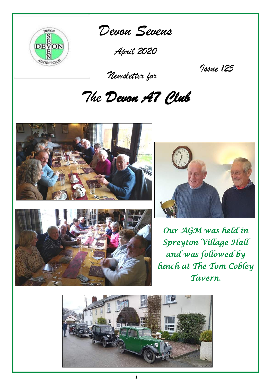

*Devon Sevens* 

*April 2020*

 *Newsletter for*

*Issue 125*

# *The Devon A7 Club*







*Our AGM was held in Spreyton Village Hall and was followed by lunch at The Tom Cobley Tavern.* 

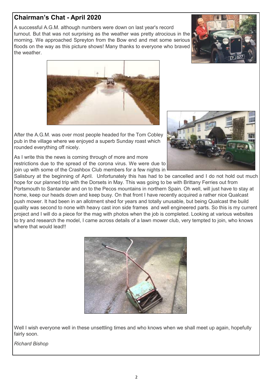# **Chairman's Chat - April 2020**

A successful A.G.M. although numbers were down on last year's record turnout. But that was not surprising as the weather was pretty atrocious in the morning. We approached Spreyton from the Bow end and met some serious floods on the way as this picture shows! Many thanks to everyone who braved the weather.





After the A.G.M. was over most people headed for the Tom Cobley pub in the village where we enjoyed a superb Sunday roast which rounded everything off nicely.

As I write this the news is coming through of more and more restrictions due to the spread of the corona virus. We were due to join up with some of the Crashbox Club members for a few nights in

Salisbury at the beginning of April. Unfortunately this has had to be cancelled and I do not hold out much hope for our planned trip with the Dorsets in May. This was going to be with Brittany Ferries out from Portsmouth to Santander and on to the Pecos mountains in northern Spain. Oh well, will just have to stay at home, keep our heads down and keep busy. On that front I have recently acquired a rather nice Qualcast push mower. It had been in an allotment shed for years and totally unusable, but being Qualcast the build quality was second to none with heavy cast iron side frames and well engineered parts. So this is my current project and I will do a piece for the mag with photos when the job is completed. Looking at various websites to try and research the model, I came across details of a lawn mower club, very tempted to join, who knows where that would lead!!



Well I wish everyone well in these unsettling times and who knows when we shall meet up again, hopefully fairly soon.

*Richard Bishop*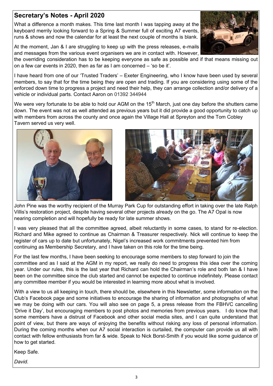What a difference a month makes. This time last month I was tapping away at the keyboard merrily looking forward to a Spring & Summer full of exciting A7 events, runs & shows and now the calendar for at least the next couple of months is blank.

At the moment, Jan & I are struggling to keep up with the press releases, e-mails and messages from the various event organisers we are in contact with. However,

the overriding consideration has to be keeping everyone as safe as possible and if that means missing out on a few car events in 2020, then as far as I am concerned – 'so be it'.

I have heard from one of our 'Trusted Traders' – Exeter Engineering, who I know have been used by several members, to say that for the time being they are open and trading. If you are considering using some of the enforced down time to progress a project and need their help, they can arrange collection and/or delivery of a vehicle or individual parts. Contact Aaron on 01392 344944

We were very fortunate to be able to hold our AGM on the 15<sup>th</sup> March, just one day before the shutters came down. The event was not as well attended as previous years but it did provide a good opportunity to catch up with members from across the county and once again the Village Hall at Spreyton and the Tom Cobley Tavern served us very well.

John Pine was the worthy recipient of the Murray Park Cup for outstanding effort in taking over the late Ralph Villis's restoration project, despite having several other projects already on the go. The A7 Opal is now nearing completion and will hopefully be ready for late summer shows.

I was very pleased that all the committee agreed, albeit reluctantly in some cases, to stand for re-election. Richard and Mike agreed to continue as Chairman & Treasurer respectively. Nick will continue to keep the register of cars up to date but unfortunately, Nigel's increased work commitments prevented him from continuing as Membership Secretary, and I have taken on this role for the time being.

For the last few months, I have been seeking to encourage some members to step forward to join the committee and as I said at the AGM in my report, we really do need to progress this idea over the coming year. Under our rules, this is the last year that Richard can hold the Chairman's role and both Ian & I have been on the committee since the club started and cannot be expected to continue indefinitely. Please contact any committee member if you would be interested in learning more about what is involved.

With a view to us all keeping in touch, there should be, elsewhere in this Newsletter, some information on the Club's Facebook page and some initiatives to encourage the sharing of information and photographs of what we may be doing with our cars. You will also see on page 5, a press release from the FBHVC cancelling 'Drive it Day', but encouraging members to post photos and memories from previous years. I do know that some members have a distrust of Facebook and other social media sites, and I can quite understand that point of view, but there are ways of enjoying the benefits without risking any loss of personal information. During the coming months when our A7 social interaction is curtailed, the computer can provide us all with contact with fellow enthusiasts from far & wide. Speak to Nick Borst-Smith if you would like some guidance of how to get started.

Keep Safe.

*David.*





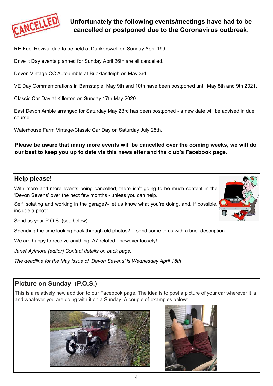

# **Unfortunately the following events/meetings have had to be cancelled or postponed due to the Coronavirus outbreak.**

RE-Fuel Revival due to be held at Dunkerswell on Sunday April 19th

Drive it Day events planned for Sunday April 26th are all cancelled.

Devon Vintage CC Autojumble at Buckfastleigh on May 3rd.

VE Day Commemorations in Barnstaple, May 9th and 10th have been postponed until May 8th and 9th 2021.

Classic Car Day at Killerton on Sunday 17th May 2020.

East Devon Amble arranged for Saturday May 23rd has been postponed - a new date will be advised in due course.

Waterhouse Farm Vintage/Classic Car Day on Saturday July 25th.

**Please be aware that many more events will be cancelled over the coming weeks, we will do our best to keep you up to date via this newsletter and the club's Facebook page.** 

## **Help please!**

With more and more events being cancelled, there isn't going to be much content in the 'Devon Sevens' over the next few months - unless you can help.

Self isolating and working in the garage?- let us know what you're doing, and, if possible, include a photo.

Send us your P.O.S. (see below).

Spending the time looking back through old photos? - send some to us with a brief description.

We are happy to receive anything A7 related - however loosely!

*Janet Aylmore (editor) Contact details on back page.*

*The deadline for the May issue of 'Devon Sevens' is Wednesday April 15th .*

# **Picture on Sunday (P.O.S.)**

This is a relatively new addition to our Facebook page. The idea is to post a picture of your car wherever it is and whatever you are doing with it on a Sunday. A couple of examples below:



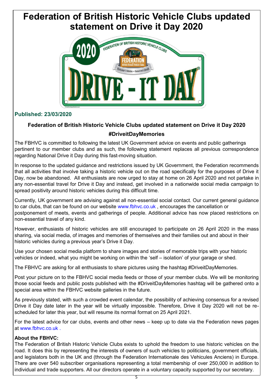# **Federation of British Historic Vehicle Clubs updated statement on Drive it Day 2020**



## **Published: 23/03/2020**

## **Federation of British Historic Vehicle Clubs updated statement on Drive it Day 2020 #DriveitDayMemories**

The FBHVC is committed to following the latest UK Government advice on events and public gatherings pertinent to our member clubs and as such, the following statement replaces all previous correspondence regarding National Drive it Day during this fast-moving situation.

In response to the updated guidance and restrictions issued by UK Government, the Federation recommends that all activities that involve taking a historic vehicle out on the road specifically for the purposes of Drive it Day, now be abandoned. All enthusiasts are now urged to stay at home on 26 April 2020 and not partake in any non-essential travel for Drive it Day and instead, get involved in a nationwide social media campaign to spread positivity around historic vehicles during this difficult time.

Currently, UK government are advising against all non-essential social contact. Our current general guidance to car clubs, that can be found on our website www.fbhyc.co.uk, encourages the cancellation or postponement of meets, events and gatherings of people. Additional advice has now placed restrictions on non-essential travel of any kind.

However, enthusiasts of historic vehicles are still encouraged to participate on 26 April 2020 in the mass sharing, via social media, of images and memories of themselves and their families out and about in their historic vehicles during a previous year's Drive it Day.

Use your chosen social media platform to share images and stories of memorable trips with your historic vehicles or indeed, what you might be working on within the 'self – isolation' of your garage or shed.

The FBHVC are asking for all enthusiasts to share pictures using the hashtag #DriveitDayMemories.

Post your picture on to the FBHVC social media feeds or those of your member clubs. We will be monitoring those social feeds and public posts published with the #DriveitDayMemories hashtag will be gathered onto a special area within the FBHVC website galleries in the future.

As previously stated, with such a crowded event calendar, the possibility of achieving consensus for a revised Drive it Day date later in the year will be virtually impossible. Therefore, Drive it Day 2020 will not be rescheduled for later this year, but will resume its normal format on 25 April 2021.

For the latest advice for car clubs, events and other news – keep up to date via the Federation news pages at [www.fbhvc.co.uk .](https://www.fbhvc.co.uk/news/article/federation-of-british-historic-vehicle-clubs-updated-statement-on-drive-it-day-2020)

## **About the FBHVC:**

The Federation of British Historic Vehicle Clubs exists to uphold the freedom to use historic vehicles on the road. It does this by representing the interests of owners of such vehicles to politicians, government officials, and legislators both in the UK and (through the Federation Internationale des Vehicules Anciens) in Europe. There are over 540 subscriber organisations representing a total membership of over 250,000 in addition to individual and trade supporters. All our directors operate in a voluntary capacity supported by our secretary.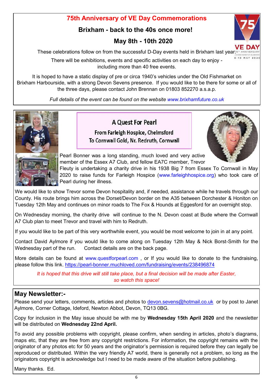## **75th Anniversary of VE Day Commemorations**

## **Brixham - back to the 40s once more!**

# **May 8th - 10th 2020**

These celebrations follow on from the successful D-Day events held in Brixham last year?<sup>51</sup>

There will be exhibitions, events and specific activities on each day to enjoy including more than 40 free events.

It is hoped to have a static display of pre or circa 1940's vehicles under the Old Fishmarket on Brixham Harbourside, with a strong Devon Sevens presence. If you would like to be there for some or all of the three days, please contact John Brennan on 01803 852270 a.s.a.p.

*Full details of the event can be found on the website www.brixhamfuture.co.uk*



## **A Quest For Pearl**

From Farleigh Hospice, Chelmsford To Cornwall Gold, Nr. Redruth, Cornwall



8-10 MAY 2020

Pearl Bonner was a long standing, much loved and very active member of the Essex A7 Club, and fellow EA7C member, Trevor

Fleuty is undertaking a charity drive in his 1938 Big 7 from Essex To Cornwall in May 2020 to raise funds for Farleigh Hospice (www.farleighhospice.org) who took care of Pearl during her illness.

We would like to show Trevor some Devon hospitality and, if needed, assistance while he travels through our County. His route brings him across the Dorset/Devon border on the A35 between Dorchester & Honiton on Tuesday 12th May and continues on minor roads to The Fox & Hounds at Eggesford for an overnight stop.

On Wednesday morning, the charity drive will continue to the N. Devon coast at Bude where the Cornwall A7 Club plan to meet Trevor and travel with him to Redruth.

If you would like to be part of this very worthwhile event, you would be most welcome to join in at any point.

Contact David Aylmore if you would like to come along on Tuesday 12th May & Nick Borst-Smith for the Wednesday part of the run. Contact details are on the back page.

More details can be found at www.questforpearl.com, or If you would like to donate to the fundraising, please follow this link. https://pearl-[bonner.muchloved.com/fundraising/events/238496874](https://pearl-bonner.muchloved.com/fundraising/events/238496874)

*It is hoped that this drive will still take place, but a final decision will be made after Easter, so watch this space!*

## **May Newsletter:-**

Please send your letters, comments, articles and photos to [devon.sevens@hotmail.co.uk](mailto:devon.sevens@hotmail.co.uk) or by post to Janet Aylmore, Corner Cottage, Ideford, Newton Abbot, Devon, TQ13 0BG.

Copy for inclusion in the May issue should be with me by **Wednesday 15th April 2020** and the newsletter will be distributed on **Wednesday 22nd April.**

To avoid any possible problems with copyright, please confirm, when sending in articles, photo's diagrams, maps etc, that they are free from any copyright restrictions. For information, the copyright remains with the originator of any photos etc for 50 years and the originator's permission is required before they can legally be reproduced or distributed. Within the very friendly A7 world, there is generally not a problem, so long as the originators copyright is acknowledge but I need to be made aware of the situation before publishing.

Many thanks. Ed.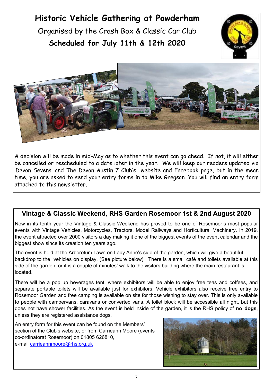# **Historic Vehicle Gathering at Powderham** Organised by the Crash Box & Classic Car Club **Scheduled for July 11th & 12th 2020**





A decision will be made in mid-May as to whether this event can go ahead. If not, it will either be cancelled or rescheduled to a date later in the year. We will keep our readers updated via 'Devon Sevens' and The Devon Austin 7 Club's website and Facebook page, but in the mean time, you are asked to send your entry forms in to Mike Gregson. You will find an entry form attached to this newsletter.

## **Vintage & Classic Weekend, RHS Garden Rosemoor 1st & 2nd August 2020**

Now in its tenth year the Vintage & Classic Weekend has proved to be one of Rosemoor's most popular events with Vintage Vehicles, Motorcycles, Tractors, Model Railways and Horticultural Machinery. In 2019, the event attracted over 2000 visitors a day making it one of the biggest events of the event calendar and the biggest show since its creation ten years ago.

The event is held at the Arboretum Lawn on Lady Anne's side of the garden, which will give a beautiful backdrop to the vehicles on display. (See picture below). There is a small café and toilets available at this side of the garden, or it is a couple of minutes' walk to the visitors building where the main restaurant is located.

There will be a pop up beverages tent, where exhibitors will be able to enjoy free teas and coffees, and separate portable toilets will be available just for exhibitors. Vehicle exhibitors also receive free entry to Rosemoor Garden and free camping is available on site for those wishing to stay over. This is only available to people with campervans, caravans or converted vans. A toilet block will be accessible all night, but this does not have shower facilities. As the event is held inside of the garden, it is the RHS policy of **no dogs**, unless they are registered assistance dogs.

An entry form for this event can be found on the Members' section of the Club's website, or from Carrieann Moore (events co-ordinatorat Rosemoor) on 01805 626810, e-mail [carrieannmoore@rhs.org.uk](mailto:carrieannmoore@rhs.org.uk) 

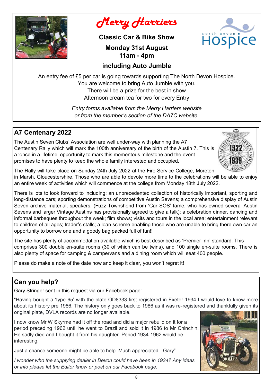

# *Merry Harriers*

**Classic Car & Bike Show**

**Monday 31st August 11am - 4pm**



## **including Auto Jumble**

An entry fee of £5 per car is going towards supporting The North Devon Hospice. You are welcome to bring Auto Jumble with you. There will be a prize for the best in show Afternoon cream tea for two for every Entry

> *Entry forms available from the Merry Harriers website or from the member's section of the DA7C website.*

## **A7 Centenary 2022**

The Austin Seven Clubs' Association are well under-way with planning the A7 Centenary Rally which will mark the 100th anniversary of the birth of the Austin 7. This is a 'once in a lifetime' opportunity to mark this momentous milestone and the event promises to have plenty to keep the whole family interested and occupied.



The Rally will take place on Sunday 24th July 2022 at the Fire Service College, Moreton

in Marsh, Gloucestershire. Those who are able to devote more time to the celebrations will be able to enjoy an entire week of activities which will commence at the college from Monday 18th July 2022.

There is lots to look forward to including: an unprecedented collection of historically important, sporting and long-distance cars; sporting demonstrations of competitive Austin Sevens; a comprehensive display of Austin Seven archive material; speakers, (Fuzz Townshend from 'Car SOS' fame, who has owned several Austin Sevens and larger Vintage Austins has provisionally agreed to give a talk); a celebration dinner, dancing and informal barbeques throughout the week; film shows; visits and tours in the local area; entertainment relevant to children of all ages; trader's stalls; a loan scheme enabling those who are unable to bring there own car an opportunity to borrow one and a goody bag packed full of fun!!

The site has plenty of accommodation available which is best described as 'Premier Inn' standard. This comprises 300 double en-suite rooms (30 of which can be twins), and 100 single en-suite rooms. There is also plenty of space for camping & campervans and a dining room which will seat 400 people.

Please do make a note of the date now and keep it clear, you won't regret it!

# **Can you help?**

Gary Stringer sent in this request via our Facebook page:

"Having bought a 'type 65' with the plate OD8333 first registered in Exeter 1934 I would love to know more about its history pre 1986. The history only goes back to 1986 as it was re-registered and thankfully given its original plate, DVLA records are no longer available.

I now know Mr W Skyrme had it off the road and did a major rebuild on it for a period preceding 1962 until he went to Brazil and sold it in 1986 to Mr Chinchin. He sadly died and I bought it from his daughter. Period 1934-1962 would be interesting.

Just a chance someone might be able to help. Much appreciated - Gary"

*I wonder who the supplying dealer in Devon could have been in 1934? Any ideas or info please let the Editor know or post on our Facebook page.*

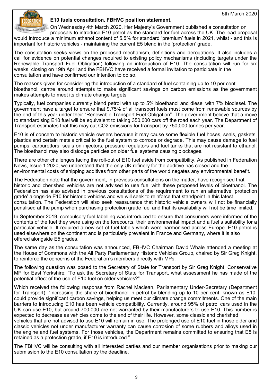

#### **E10 fuels consultation. FBHVC position statement.**

On Wednesday 4th March 2020, Her Majesty's Government published a consultation on proposals to introduce E10 petrol as the standard for fuel across the UK. The lead proposal would introduce a minimum ethanol content of 5.5% for standard 'premium' fuels in 2021, whilst - and this is important for historic vehicles - maintaining the current E5 blend in the 'protection' grade.

The consultation seeks views on the proposed mechanism, definitions and derogations. It also includes a call for evidence on potential changes required to existing policy mechanisms (including targets under the Renewable Transport Fuel Obligation) following an introduction of E10. The consultation will run for six weeks, closing on 19th April and the FBHVC have received a formal invitation to participate in the consultation and have confirmed our intention to do so.

The reasons given for considering the introduction of a standard of fuel containing up to 10 per cent bioethanol, centre around attempts to make significant savings on carbon emissions as the government makes attempts to meet its climate change targets.

Typically, fuel companies currently blend petrol with up to 5% bioethanol and diesel with 7% biodiesel. The government have a target to ensure that 9.75% of all transport fuels must come from renewable sources by the end of this year under their "Renewable Transport Fuel Obligation". The government believe that a move to standardising E10 fuel will be equivalent to taking 350,000 cars off the road each year. The Department of Transport estimates that this may cut CO2 emissions for transport by 750,000 tonnes per year.

E10 is of concern to historic vehicle owners because it may cause some flexible fuel hoses, seals, gaskets, plastics and certain metals critical to the fuel system to corrode or degrade. This may cause damage to fuel pumps, carburettors, seals on injectors, pressure regulators and fuel tanks that are not resistant to ethanol. The bioethanol may also dislodge particles on older fuel systems causing blockages.

There are other challenges facing the roll-out of E10 fuel aside from compatibility. As published in Federation News, Issue 1 2020, we understand that the only UK refinery for the additive has closed and the environmental costs of shipping additives from other parts of the world negates any environmental benefit.

The Federation note that the government, in previous consultations on the matter, have recognised that historic and cherished vehicles are not advised to use fuel with these proposed levels of bioethanol. The Federation has also advised in previous consultations of the requirement to run an alternative 'protection grade' alongside E10 for historic vehicles and we will seek to reinforce that standpoint in this latest consultation. The Federation will also seek reassurance that historic vehicle owners will not be financially penalised at the pump when purchasing protection grade fuel and that its availability will not be time limited.

In September 2019, compulsory fuel labelling was introduced to ensure that consumers were informed of the contents of the fuel they were using on the forecourts, their environmental impact and a fuel's suitability for a particular vehicle. It required a new set of fuel labels which were harmonised across Europe. E10 petrol is used elsewhere on the continent and is particularly prevalent in France and Germany, where it is also offered alongside E5 grades.

The same day as the consultation was announced, FBHVC Chairman David Whale attended a meeting at the House of Commons with the All Party Parliamentary Historic Vehicles Group, chaired by Sir Greg Knight, to reinforce the concerns of the Federation's members directly with MPs.

The following question was posed to the Secretary of State for Transport by Sir Greg Knight, Conservative MP for East Yorkshire: "To ask the Secretary of State for Transport, what assessment he has made of the potential effect of the use of E10 fuel on older vehicles?"

Which received the following response from Rachel Maclean, Parliamentary Under-Secretary (Department for Transport): "Increasing the share of bioethanol in petrol by blending up to 10 per cent, known as E10, could provide significant carbon savings, helping us meet our climate change commitments. One of the main barriers to introducing E10 has been vehicle compatibility. Currently, around 95% of petrol cars used in the UK can use E10, but around 700,000 are not warranted by their manufacturers to use E10. This number is expected to decrease as vehicles come to the end of their life. However, some classic and cherished vehicles that are not advised to use E10 will remain in use. The prolonged use of E10 fuel in those older and classic vehicles not under manufacturer warranty can cause corrosion of some rubbers and alloys used in the engine and fuel systems. For those vehicles, the Department remains committed to ensuring that E5 is retained as a protection grade, if E10 is introduced."

The FBHVC will be consulting with all interested parties and our member organisations prior to making our submission to the E10 consultation by the deadline.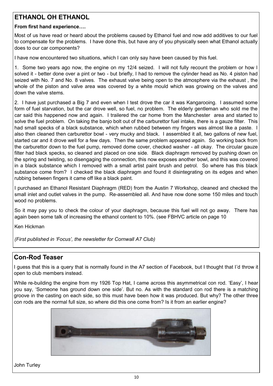# **ETHANOL OH ETHANOL**

## **From first hand experience….**

Most of us have read or heard about the problems caused by Ethanol fuel and now add additives to our fuel to compensate for the problems. I have done this, but have any of you physically seen what Ethanol actually does to our car components?

I have now encountered two situations, which I can only say have been caused by this fuel.

1. Some two years ago now, the engine on my 12/4 seized. I will not fully recount the problem or how I solved it - better done over a pint or two - but briefly, I had to remove the cylinder head as No. 4 piston had seized with No. 7 and No. 8 valves. The exhaust valve being open to the atmosphere via the exhaust , the whole of the piston and valve area was covered by a white mould which was growing on the valves and down the valve stems.

2. I have just purchased a Big 7 and even when I test drove the car it was Kangarooing. I assumed some form of fuel starvation, but the car drove well, so fuel, no problem. The elderly gentleman who sold me the car said this happened now and again. I trailered the car home from the Manchester area and started to solve the fuel problem. On taking the banjo bolt out of the carburettor fuel intake, there is a gauze filter. This had small specks of a black substance, which when rubbed between my fingers was almost like a paste. I also then cleaned then carburettor bowl - very mucky and black. I assembled it all, two gallons of new fuel, started car and it drove well for a few days. Then the same problem appeared again. So working back from the carburettor down to the fuel pump, removed dome cover, checked washer - all okay. The circular gauze filter had black specks, so cleaned and placed on one side. Black diaphragm removed by pushing down on the spring and twisting, so disengaging the connection, this now exposes another bowl, and this was covered in a black substance which I removed with a small artist paint brush and petrol. So where has this black substance come from? I checked the black diaphragm and found it disintegrating on its edges and when rubbing between fingers it came off like a black paint.

I purchased an Ethanol Resistant Diaphragm (RED) from the Austin 7 Workshop, cleaned and checked the small inlet and outlet valves in the pump. Re-assembled all. And have now done some 150 miles and touch wood no problems.

So it may pay you to check the colour of your diaphragm, because this fuel will not go away. There has again been some talk of increasing the ethanol content to 10%. (see FBHVC article on page 10

Ken Hickman

*(First published in 'Focus', the newsletter for Cornwall A7 Club)*

## **Con-Rod Teaser**

I guess that this is a query that is normally found in the A7 section of Facebook, but I thought that I'd throw it open to club members instead.

While re-building the engine from my 1926 Top Hat, I came across this asymmetrical con rod. 'Easy', I hear you say, 'Someone has ground down one side'. But no. As with the standard con rod there is a matching groove in the casting on each side, so this must have been how it was produced. But why? The other three con rods are the normal full size, so where did this one come from? Is it from an earlier engine?



John Turley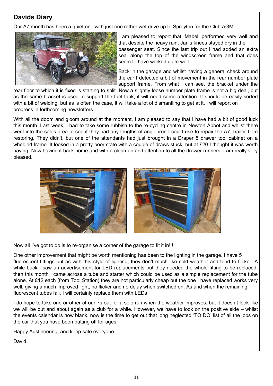# **Davids Diary**

Our A7 month has been a quiet one with just one rather wet drive up to Spreyton for the Club AGM.



I am pleased to report that 'Mabel' performed very well and that despite the heavy rain, Jan's knees stayed dry in the passenger seat. Since the last trip out I had added an extra seal along the top of the windscreen frame and that does seem to have worked quite well.

Back in the garage and whilst having a general check around the car I detected a bit of movement in the rear number plate support frame. From what I can see, the bracket under the

rear floor to which it is fixed is starting to split. Now a slightly loose number plate frame is not a big deal, but as the same bracket is used to support the fuel tank, it will need some attention. It should be easily sorted with a bit of welding, but as is often the case, it will take a lot of dismantling to get at it. I will report on progress in forthcoming newsletters.

With all the doom and gloom around at the moment, I am pleased to say that I have had a bit of good luck this month. Last week, I had to take some rubbish to the re-cycling centre in Newton Abbot and whilst there went into the sales area to see if they had any lengths of angle iron I could use to repair the A7 Trailer I am restoring. They didn't, but one of the attendants had just brought in a Draper 5 drawer tool cabinet on a wheeled frame. It looked in a pretty poor state with a couple of draws stuck, but at £20 I thought it was worth having. Now having it back home and with a clean up and attention to all the drawer runners, I am really very pleased.



Now all I've got to do is to re-organise a corner of the garage to fit it in!!!

One other improvement that might be worth mentioning has been to the lighting in the garage. I have 5 fluorescent fittings but as with this style of lighting, they don't much like cold weather and tend to flicker. A while back I saw an advertisement for LED replacements but they needed the whole fitting to be replaced, then this month I came across a tube and starter which could be used as a simple replacement for the tube alone. At £12 each (from Tool Station) they are not particularly cheap but the one I have replaced works very well, giving a much improved light, no flicker and no delay when switched on. As and when the remaining fluorescent tubes fail, I will certainly replace them with LEDs

I do hope to take one or other of our 7s out for a solo run when the weather improves, but it doesn't look like we will be out and about again as a club for a while. However, we have to look on the positive side – whilst the events calendar is now blank, now is the time to get out that long neglected 'TO DO' list of all the jobs on the car that you have been putting off for ages.

Happy Austineering, and keep safe everyone.

David.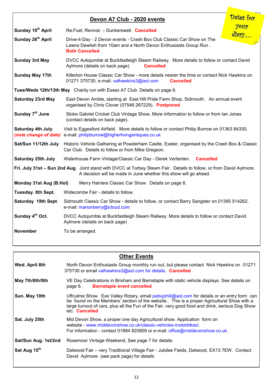| Devon A7 Club - 2020 events                                                    |                                                                                                                                                                                         | Dates for |
|--------------------------------------------------------------------------------|-----------------------------------------------------------------------------------------------------------------------------------------------------------------------------------------|-----------|
| Sunday 19 <sup>th</sup> April                                                  | Re:Fuel, Revival. - Dunkerswell. Cancelled                                                                                                                                              | your      |
| Sunday 26 <sup>th</sup> April                                                  | Drive-it-Day - 2 Devon events - Crash Box Club Classic Car Show on The<br>Lawns Dawlish from 10am and a North Devon Enthusiasts Group Run.<br><b>Both Cancelled</b>                     | diary     |
| <b>Sunday 3rd May</b>                                                          | DVCC Autojumble at Buckfastleigh Steam Railway. More details to follow or contact David<br>Aylmore (details on back page)<br><b>Cancelled</b>                                           |           |
| <b>Sunday May 17th</b>                                                         | Killerton House Classic Car Show - more details nearer the time or contact Nick Hawkins on<br>01271 375730, e-mail: valhawkins3@aol.com<br><b>Cancelled</b>                             |           |
| Tues/Weds 12th/13th May Charity run with Essex A7 Club. Details on page 6.     |                                                                                                                                                                                         |           |
| <b>Saturday 23rd May</b>                                                       | East Devon Amble, starting at East Hill Pride Farm Shop, Sidmouth. An annual event<br>organised by Chris Clover (07546 267229). Postponed                                               |           |
| Sunday 7 <sup>th</sup> June                                                    | Stoke Gabriel Cricket Club Vintage Show. More information to follow or from Ian Jones<br>(contact details on back page).                                                                |           |
| Saturday 4th July<br>(note change of date)                                     | Visit to Eggesford Airfield. More details to follow or contact Philip Burrow on 01363 84330,<br>e-mail: philipburrow@higherlivingantiques.co.uk                                         |           |
| Sat/Sun 11/12th July                                                           | Historic Vehicle Gathering at Powderham Castle, Exeter, organised by the Crash Box & Classic<br>Car Club. Details to follow or from Mike Gregson.                                       |           |
| Saturday 25th July                                                             | Waterhouse Farm Vintage/Classic Car Day - Derek Vertenten. Cancelled                                                                                                                    |           |
|                                                                                | Fri. July 31st - Sun 2nd Aug. Joint stand with DVCC at Torbay Steam Fair. Details to follow, or from David Aylmore.<br>A decision will be made in June whether this show will go ahead. |           |
| Monday 31st Aug (B.Hol)<br>Merry Harriers Classic Car Show. Details on page 8. |                                                                                                                                                                                         |           |
| Tuesday. 8th Sept.                                                             | Widecombe Fair - details to follow.                                                                                                                                                     |           |
| Saturday 19th Sept.                                                            | Sidmouth Classic Car Show - details to follow, or contact Barry Sangster on 01395 514262,<br>e-mail: marionberry@icloud.com                                                             |           |
| Sunday 4 <sup>th</sup> Oct.                                                    | DVCC Autojumble at Buckfastleigh Steam Railway. More details to follow or contact David<br>Aylmore (details on back page)                                                               |           |
| <b>November</b>                                                                | To be arranged.                                                                                                                                                                         |           |

| <b>Other Events</b>  |                                                                                                                                                                                                                                                                                                                      |  |
|----------------------|----------------------------------------------------------------------------------------------------------------------------------------------------------------------------------------------------------------------------------------------------------------------------------------------------------------------|--|
| Wed. April 8th       | North Devon Enthusiasts Group monthly run out, but please contact Nick Hawkins on 01271<br>375730 or email valhawkins3@aol.com for details. Cancelled                                                                                                                                                                |  |
| May 7th/8th/9th      | VE Day Celebrations in Brixham and Barnstaple with static vehicle displays. See details on<br><b>Barnstaple event cancelled</b><br>page 6.                                                                                                                                                                           |  |
| Sun. May 10th        | Uffculme Show. Exe Valley Rotary, email patsyphili@aol.com for details or an entry form can<br>be found on the Members' section of the website This is a proper Agricultural Show with a<br>large turnout of cars, plus all the Fun of the Fair, very good food and drink, serious Dog Show<br>etc. <b>Cancelled</b> |  |
| Sat. July 25th       | Mid Devon Show, a proper one day Agricultural show. Application form on<br>website - www.middevonshow.co.uk/classic-vehicles-motorbikes/.<br>For information - contact 01884 820859 or e-mail: office@middevonshow.co.uk.                                                                                            |  |
| Sat/Sun Aug. 1st/2nd | Rosemoor Vintage Weekend, See page 7 for details.                                                                                                                                                                                                                                                                    |  |
| Sat Aug 15th         | Dalwood Fair – very Traditional Village Fair - Jubilee Fields, Dalwood, EX13 7EW. Contact<br>David Aylmore (see pack page) for details                                                                                                                                                                               |  |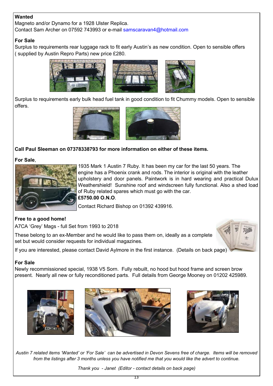## **Wanted**

Magneto and/or Dynamo for a 1928 Ulster Replica. Contact Sam Archer on 07592 743993 or e-mail samscaravan4@hotmail.com

#### **For Sale**

Surplus to requirements rear luggage rack to fit early Austin's as new condition. Open to sensible offers ( supplied by Austin Repro Parts) new price £280.



Surplus to requirements early bulk head fuel tank in good condition to fit Chummy models. Open to sensible offers.



## **Call Paul Sleeman on 07378338793 for more information on either of these items.**

#### **For Sale**,



1935 Mark 1 Austin 7 Ruby. It has been my car for the last 50 years. The engine has a Phoenix crank and rods. The interior is original with the leather upholstery and door panels. Paintwork is in hard wearing and practical Dulux Weathershield! Sunshine roof and windscreen fully functional. Also a shed load of Ruby related spares which must go with the car.

**£5750.00 O.N.O**.

Contact Richard Bishop on 01392 439916.

## **Free to a good home!**

A7CA 'Grey' Mags - full Set from 1993 to 2018

These belong to an ex-Member and he would like to pass them on, ideally as a complete set but would consider requests for individual magazines.



## **For Sale**

Newly recommissioned special, 1938 V5 Sorn. Fully rebuilt, no hood but hood frame and screen brow present. Nearly all new or fully reconditioned parts. Full details from George Mooney on 01202 425989.







*Austin 7 related items 'Wanted' or 'For Sale' can be advertised in Devon Sevens free of charge. Items will be removed from the listings after 3 months unless you have notified me that you would like the advert to continue.* 

*Thank you - Janet (Editor - contact details on back page)*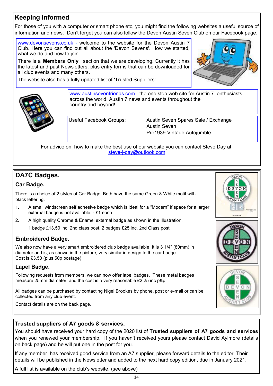# **Keeping Informed**

For those of you with a computer or smart phone etc, you might find the following websites a useful source of information and news. Don't forget you can also follow the Devon Austin Seven Club on our Facebook page.

www.devonsevens.co.uk - welcome to the website for the Devon Austin 7 Club. Here you can find out all about the 'Devon Sevens'. How we started, what we do and how to join.

There is a **Members Only** section that we are developing. Currently it has the latest and past Newsletters, plus entry forms that can be downloaded for all club events and many others.

The website also has a fully updated list of 'Trusted Suppliers'.





www.austinsevenfriends.com - the one stop web site for Austin 7 enthusiasts across the world. Austin 7 news and events throughout the country and beyond!

Useful Facebook Groups: Austin Seven Spares Sale / Exchange Austin Seven Pre1939-Vintage Autojumble

For advice on how to make the best use of our website you can contact Steve Day at: steve-j-[day@outlook.com](mailto:steve-j-day@outlook.com)

# **DA7C Badges.**

## **Car Badge.**

There is a choice of 2 styles of Car Badge. Both have the same Green & White motif with black lettering.

- 1. A small windscreen self adhesive badge which is ideal for a "Modern" if space for a larger external badge is not available. - £1 each
- 2. A high quality Chrome & Enamel external badge as shown in the Illustration.

1 badge £13.50 inc. 2nd class post, 2 badges £25 inc. 2nd Class post.

## **Embroidered Badge.**

We also now have a very smart embroidered club badge available. It is 3 1/4" (80mm) in diameter and is, as shown in the picture, very similar in design to the car badge. Cost is £3.50 (plus 50p postage)

## **Lapel Badge.**

Following requests from members, we can now offer lapel badges. These metal badges measure 25mm diameter, and the cost is a very reasonable £2.25 inc p&p.

All badges can be purchased by contacting Nigel Brookes by phone, post or e-mail or can be collected from any club event.

Contact details are on the back page.





## **Trusted suppliers of A7 goods & services.**

You should have received your hard copy of the 2020 list of **Trusted suppliers of A7 goods and services**  when you renewed your membership. If you haven't received yours please contact David Aylmore (details on back page) and he will put one in the post for you.

If any member has received good service from an A7 supplier, please forward details to the editor. Their details will be published in the Newsletter and added to the next hard copy edition, due in January 2021.

A full list is available on the club's website. (see above)